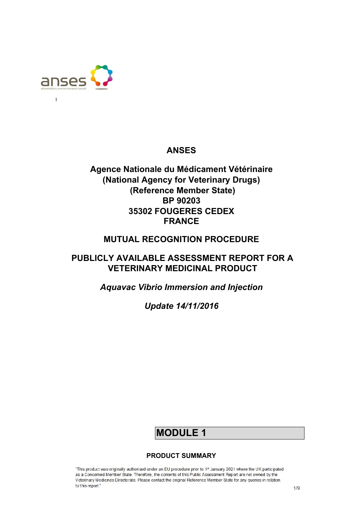

 $\overline{1}$ 

# **ANSES**

# **Agence Nationale du Médicament Vétérinaire (National Agency for Veterinary Drugs) (Reference Member State) BP 90203 35302 FOUGERES CEDEX FRANCE**

# **MUTUAL RECOGNITION PROCEDURE**

# **PUBLICLY AVAILABLE ASSESSMENT REPORT FOR A VETERINARY MEDICINAL PRODUCT**

*Aquavac Vibrio Immersion and Injection* 

*Update 14/11/2016* 

# **MODULE 1**

## **PRODUCT SUMMARY**

"This product was originally authorised under an EU procedure prior to 1st January 2021 where the UK participated as a Concerned Member State. Therefore, the contents of this Public Assessment Report are not owned by the Veterinary Medicines Directorate. Please contact the original Reference Member State for any queries in relation to this report."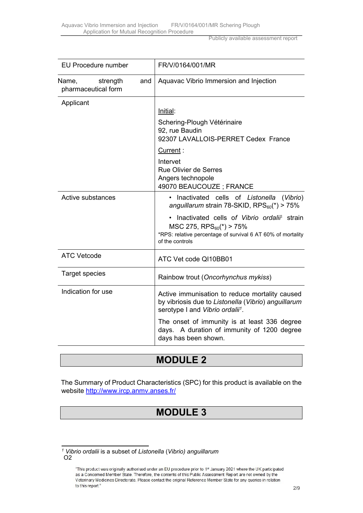Publicly available assessment report

| <b>EU Procedure number</b>                      | FR/V/0164/001/MR                                                                                                                                                          |
|-------------------------------------------------|---------------------------------------------------------------------------------------------------------------------------------------------------------------------------|
| Name,<br>strength<br>and<br>pharmaceutical form | Aquavac Vibrio Immersion and Injection                                                                                                                                    |
| Applicant                                       |                                                                                                                                                                           |
|                                                 | Initial:                                                                                                                                                                  |
|                                                 | Schering-Plough Vétérinaire<br>92, rue Baudin<br>92307 LAVALLOIS-PERRET Cedex France                                                                                      |
|                                                 | Current:                                                                                                                                                                  |
|                                                 | Intervet<br><b>Rue Olivier de Serres</b><br>Angers technopole<br>49070 BEAUCOUZE ; FRANCE                                                                                 |
| Active substances                               | · Inactivated cells of Listonella<br>(Vibrio)<br>anguillarum strain 78-SKID, $RPS_{60}(*) > 75\%$                                                                         |
|                                                 | Inactivated cells of Vibrio ordalii <sup>1</sup> strain<br>MSC 275, $RPS_{60}(*)$ > 75%<br>*RPS: relative percentage of survival 6 AT 60% of mortality<br>of the controls |
| <b>ATC Vetcode</b>                              | ATC Vet code QI10BB01                                                                                                                                                     |
| <b>Target species</b>                           | Rainbow trout (Oncorhynchus mykiss)                                                                                                                                       |
| Indication for use                              | Active immunisation to reduce mortality caused<br>by vibriosis due to Listonella (Vibrio) anguillarum<br>serotype I and Vibrio ordalii <sup>1</sup> .                     |
|                                                 | The onset of immunity is at least 336 degree<br>days. A duration of immunity of 1200 degree<br>days has been shown.                                                       |

# **MODULE 2**

The Summary of Product Characteristics (SPC) for this product is available on the website<http://www.ircp.anmv.anses.fr/>

# **MODULE 3**

*<sup>1</sup> Vibrio ordalii* is a subset of *Listonella* (*Vibrio) anguillarum* O2

<sup>&</sup>quot;This product was originally authorised under an EU procedure prior to 1<sup>st</sup> January 2021 where the UK participated as a Concerned Member State. Therefore, the contents of this Public Assessment Report are not owned by the Veterinary Medicines Directorate. Please contact the original Reference Member State for any queries in relation to this report."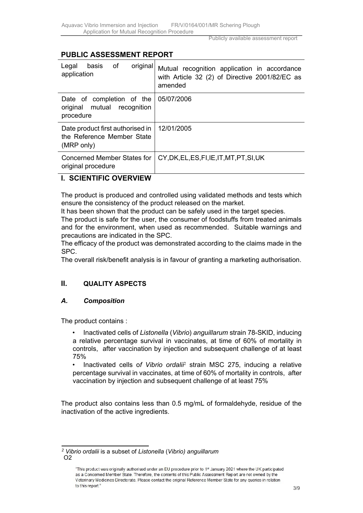# **PUBLIC ASSESSMENT REPORT**

| original<br>оf<br>basis<br>Legal<br>application                                | Mutual recognition application in accordance<br>with Article 32 (2) of Directive 2001/82/EC as<br>amended |
|--------------------------------------------------------------------------------|-----------------------------------------------------------------------------------------------------------|
| Date of completion of the<br>original mutual recognition<br>procedure          | 05/07/2006                                                                                                |
| Date product first authorised in  <br>the Reference Member State<br>(MRP only) | 12/01/2005                                                                                                |
| Concerned Member States for<br>original procedure                              | CY, DK, EL, ES, FI, IE, IT, MT, PT, SI, UK                                                                |

## **I. SCIENTIFIC OVERVIEW**

The product is produced and controlled using validated methods and tests which ensure the consistency of the product released on the market.

It has been shown that the product can be safely used in the target species.

The product is safe for the user, the consumer of foodstuffs from treated animals and for the environment, when used as recommended. Suitable warnings and precautions are indicated in the SPC.

The efficacy of the product was demonstrated according to the claims made in the SPC.

The overall risk/benefit analysis is in favour of granting a marketing authorisation.

## **II. QUALITY ASPECTS**

#### *A. Composition*

The product contains :

• Inactivated cells of *Listonella* (*Vibrio*) *anguillarum* strain 78-SKID, inducing a relative percentage survival in vaccinates, at time of 60% of mortality in controls, after vaccination by injection and subsequent challenge of at least 75%

• Inactivated cells of Vibrio ordali<sup>p</sup> strain MSC 275, inducing a relative percentage survival in vaccinates, at time of 60% of mortality in controls, after vaccination by injection and subsequent challenge of at least 75%

The product also contains less than 0.5 mg/mL of formaldehyde, residue of the inactivation of the active ingredients.

*<sup>2</sup> Vibrio ordalii* is a subset of *Listonella* (*Vibrio) anguillarum* O2

<sup>&</sup>quot;This product was originally authorised under an EU procedure prior to 1st January 2021 where the UK participated as a Concerned Member State. Therefore, the contents of this Public Assessment Report are not owned by the Veterinary Medicines Directorate. Please contact the original Reference Member State for any queries in relation to this report."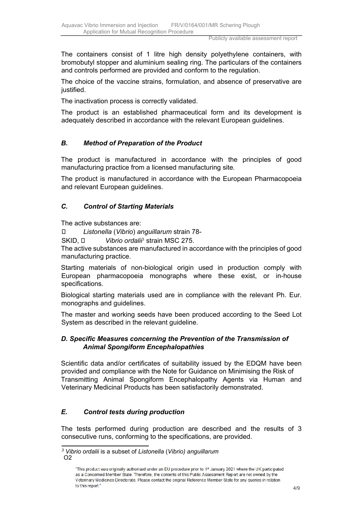The containers consist of 1 litre high density polyethylene containers, with bromobutyl stopper and aluminium sealing ring. The particulars of the containers and controls performed are provided and conform to the regulation.

The choice of the vaccine strains, formulation, and absence of preservative are justified.

The inactivation process is correctly validated.

The product is an established pharmaceutical form and its development is adequately described in accordance with the relevant European guidelines.

### *B. Method of Preparation of the Product*

The product is manufactured in accordance with the principles of good manufacturing practice from a licensed manufacturing site*.* 

The product is manufactured in accordance with the European Pharmacopoeia and relevant European guidelines.

#### *C. Control of Starting Materials*

The active substances are:

*Listonella* (*Vibrio*) *anguillarum* strain 78-

SKID, □ *Vibrio ordalii*<sup>3</sup> strain MSC 275.

The active substances are manufactured in accordance with the principles of good manufacturing practice.

Starting materials of non-biological origin used in production comply with European pharmacopoeia monographs where these exist, or in-house specifications.

Biological starting materials used are in compliance with the relevant Ph. Eur. monographs and guidelines.

The master and working seeds have been produced according to the Seed Lot System as described in the relevant guideline.

#### *D. Specific Measures concerning the Prevention of the Transmission of Animal Spongiform Encephalopathies*

Scientific data and/or certificates of suitability issued by the EDQM have been provided and compliance with the Note for Guidance on Minimising the Risk of Transmitting Animal Spongiform Encephalopathy Agents via Human and Veterinary Medicinal Products has been satisfactorily demonstrated.

#### *E. Control tests during production*

The tests performed during production are described and the results of 3 consecutive runs, conforming to the specifications, are provided.

*<sup>3</sup> Vibrio ordalii* is a subset of *Listonella* (*Vibrio) anguillarum* O2

<sup>&</sup>quot;This product was originally authorised under an EU procedure prior to 1st January 2021 where the UK participated as a Concerned Member State. Therefore, the contents of this Public Assessment Report are not owned by the Veterinary Medicines Directorate. Please contact the original Reference Member State for any queries in relation to this report."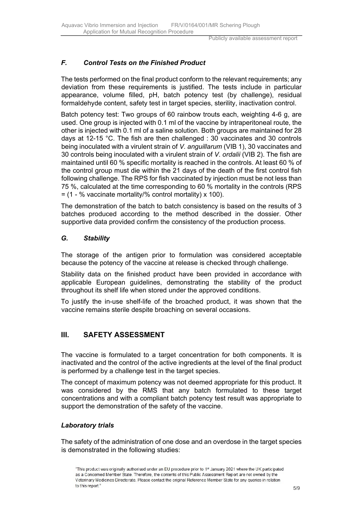# *F. Control Tests on the Finished Product*

The tests performed on the final product conform to the relevant requirements; any deviation from these requirements is justified. The tests include in particular appearance, volume filled, pH, batch potency test (by challenge), residual formaldehyde content, safety test in target species, sterility, inactivation control.

Batch potency test: Two groups of 60 rainbow trouts each, weighting 4-6 g, are used. One group is injected with 0.1 ml of the vaccine by intraperitoneal route, the other is injected with 0.1 ml of a saline solution. Both groups are maintained for 28 days at 12-15 °C. The fish are then challenged : 30 vaccinates and 30 controls being inoculated with a virulent strain of *V. anguillarum* (VIB 1), 30 vaccinates and 30 controls being inoculated with a virulent strain of *V. ordalii* (VIB 2). The fish are maintained until 60 % specific mortality is reached in the controls. At least 60 % of the control group must die within the 21 days of the death of the first control fish following challenge. The RPS for fish vaccinated by injection must be not less than 75 %, calculated at the time corresponding to 60 % mortality in the controls (RPS  $=$  (1 - % vaccinate mortality/% control mortality) x 100).

The demonstration of the batch to batch consistency is based on the results of 3 batches produced according to the method described in the dossier. Other supportive data provided confirm the consistency of the production process.

#### *G. Stability*

The storage of the antigen prior to formulation was considered acceptable because the potency of the vaccine at release is checked through challenge.

Stability data on the finished product have been provided in accordance with applicable European guidelines, demonstrating the stability of the product throughout its shelf life when stored under the approved conditions.

To justify the in-use shelf-life of the broached product, it was shown that the vaccine remains sterile despite broaching on several occasions.

## **III. SAFETY ASSESSMENT**

The vaccine is formulated to a target concentration for both components. It is inactivated and the control of the active ingredients at the level of the final product is performed by a challenge test in the target species.

The concept of maximum potency was not deemed appropriate for this product. It was considered by the RMS that any batch formulated to these target concentrations and with a compliant batch potency test result was appropriate to support the demonstration of the safety of the vaccine.

#### *Laboratory trials*

The safety of the administration of one dose and an overdose in the target species is demonstrated in the following studies:

"This product was originally authorised under an EU procedure prior to 1st January 2021 where the UK participated as a Concerned Member State. Therefore, the contents of this Public Assessment Report are not owned by the Veterinary Medicines Directorate. Please contact the original Reference Member State for any queries in relation to this report."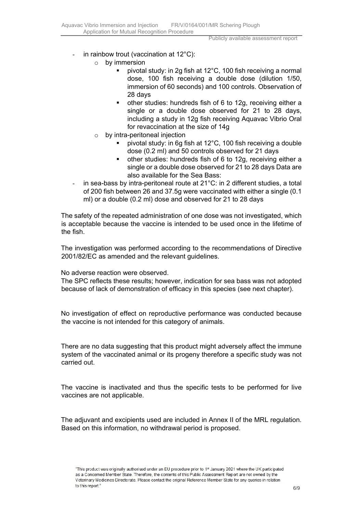- in rainbow trout (vaccination at  $12^{\circ}$ C):
	- o by immersion
		- pivotal study: in 2g fish at 12°C, 100 fish receiving a normal dose, 100 fish receiving a double dose (dilution 1/50, immersion of 60 seconds) and 100 controls. Observation of 28 days
		- other studies: hundreds fish of 6 to 12g, receiving either a single or a double dose observed for 21 to 28 days, including a study in 12g fish receiving Aquavac Vibrio Oral for revaccination at the size of 14g
	- o by intra-peritoneal injection
		- pivotal study: in 6g fish at 12°C, 100 fish receiving a double dose (0.2 ml) and 50 controls observed for 21 days
		- other studies: hundreds fish of 6 to 12g, receiving either a single or a double dose observed for 21 to 28 days Data are also available for the Sea Bass:
- in sea-bass by intra-peritoneal route at 21°C: in 2 different studies, a total of 200 fish between 26 and 37.5g were vaccinated with either a single (0.1 ml) or a double (0.2 ml) dose and observed for 21 to 28 days

The safety of the repeated administration of one dose was not investigated, which is acceptable because the vaccine is intended to be used once in the lifetime of the fish.

The investigation was performed according to the recommendations of Directive 2001/82/EC as amended and the relevant guidelines.

No adverse reaction were observed.

The SPC reflects these results; however, indication for sea bass was not adopted because of lack of demonstration of efficacy in this species (see next chapter).

No investigation of effect on reproductive performance was conducted because the vaccine is not intended for this category of animals.

There are no data suggesting that this product might adversely affect the immune system of the vaccinated animal or its progeny therefore a specific study was not carried out.

The vaccine is inactivated and thus the specific tests to be performed for live vaccines are not applicable.

The adjuvant and excipients used are included in Annex II of the MRL regulation. Based on this information, no withdrawal period is proposed.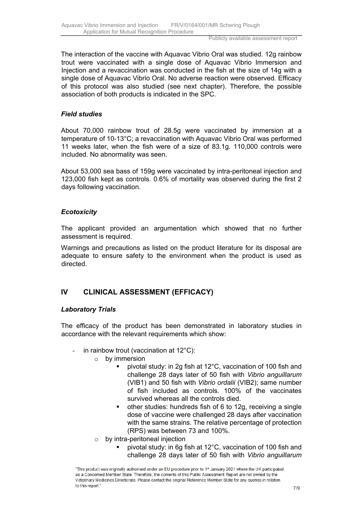The interaction of the vaccine with Aquavac Vibrio Oral was studied. 12g rainbow trout were vaccinated with a single dose of Aquavac Vibrio Immersion and Injection and a revaccination was conducted in the fish at the size of 14g with a single dose of Aquavac Vibrio Oral. No adverse reaction were observed. Efficacy of this protocol was also studied (see next chapter). Therefore, the possible association of both products is indicated in the SPC.

#### *Field studies*

About 70,000 rainbow trout of 28.5g were vaccinated by immersion at a temperature of 10-13°C; a revaccination with Aquavac Vibrio Oral was performed 11 weeks later, when the fish were of a size of 83.1g. 110,000 controls were included. No abnormality was seen.

About 53,000 sea bass of 159g were vaccinated by intra-peritoneal injection and 123,000 fish kept as controls. 0.6% of mortality was observed during the first 2 days following vaccination.

#### *Ecotoxicity*

The applicant provided an argumentation which showed that no further assessment is required.

Warnings and precautions as listed on the product literature for its disposal are adequate to ensure safety to the environment when the product is used as directed.

## **IV CLINICAL ASSESSMENT (EFFICACY)**

#### *Laboratory Trials*

The efficacy of the product has been demonstrated in laboratory studies in accordance with the relevant requirements which show:

- in rainbow trout (vaccination at  $12^{\circ}$ C):
	- o by immersion
		- pivotal study: in 2g fish at 12°C, vaccination of 100 fish and challenge 28 days later of 50 fish with *Vibrio anguillarum* (VIB1) and 50 fish with *Vibrio ordalii* (VIB2); same number of fish included as controls. 100% of the vaccinates survived whereas all the controls died.
		- other studies: hundreds fish of 6 to 12g, receiving a single dose of vaccine were challenged 28 days after vaccination with the same strains. The relative percentage of protection (RPS) was between 73 and 100%.
	- o by intra-peritoneal injection
		- pivotal study: in 6g fish at 12 $^{\circ}$ C, vaccination of 100 fish and challenge 28 days later of 50 fish with *Vibrio anguillarum*

<sup>&</sup>quot;This product was originally authorised under an EU procedure prior to 1st January 2021 where the UK participated as a Concerned Member State. Therefore, the contents of this Public Assessment Report are not owned by the Veterinary Medicines Directorate. Please contact the original Reference Member State for any queries in relation to this report."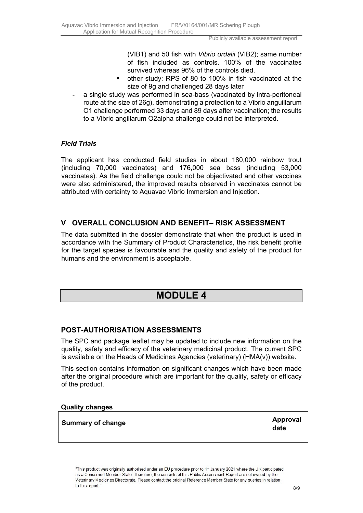(VIB1) and 50 fish with *Vibrio ordalii* (VIB2); same number of fish included as controls. 100% of the vaccinates survived whereas 96% of the controls died.

- other study: RPS of 80 to 100% in fish vaccinated at the size of 9g and challenged 28 days later
- a single study was performed in sea-bass (vaccinated by intra-peritoneal route at the size of 26g), demonstrating a protection to a Vibrio anguillarum O1 challenge performed 33 days and 89 days after vaccination; the results to a Vibrio angillarum O2alpha challenge could not be interpreted.

## *Field Trials*

The applicant has conducted field studies in about 180,000 rainbow trout (including 70,000 vaccinates) and 176,000 sea bass (including 53,000 vaccinates). As the field challenge could not be objectivated and other vaccines were also administered, the improved results observed in vaccinates cannot be attributed with certainty to Aquavac Vibrio Immersion and Injection.

# **V OVERALL CONCLUSION AND BENEFIT– RISK ASSESSMENT**

The data submitted in the dossier demonstrate that when the product is used in accordance with the Summary of Product Characteristics, the risk benefit profile for the target species is favourable and the quality and safety of the product for humans and the environment is acceptable.

# **MODULE 4**

## **POST-AUTHORISATION ASSESSMENTS**

The SPC and package leaflet may be updated to include new information on the quality, safety and efficacy of the veterinary medicinal product. The current SPC is available on the Heads of Medicines Agencies (veterinary) (HMA(v)) website.

This section contains information on significant changes which have been made after the original procedure which are important for the quality, safety or efficacy of the product.

#### **Quality changes**

| <b>Summary of change</b> | <b>Approval</b><br>date |
|--------------------------|-------------------------|
|                          |                         |

"This product was originally authorised under an EU procedure prior to 1<sup>st</sup> January 2021 where the UK participated as a Concerned Member State. Therefore, the contents of this Public Assessment Report are not owned by the Veterinary Medicines Directorate. Please contact the original Reference Member State for any queries in relation to this report."